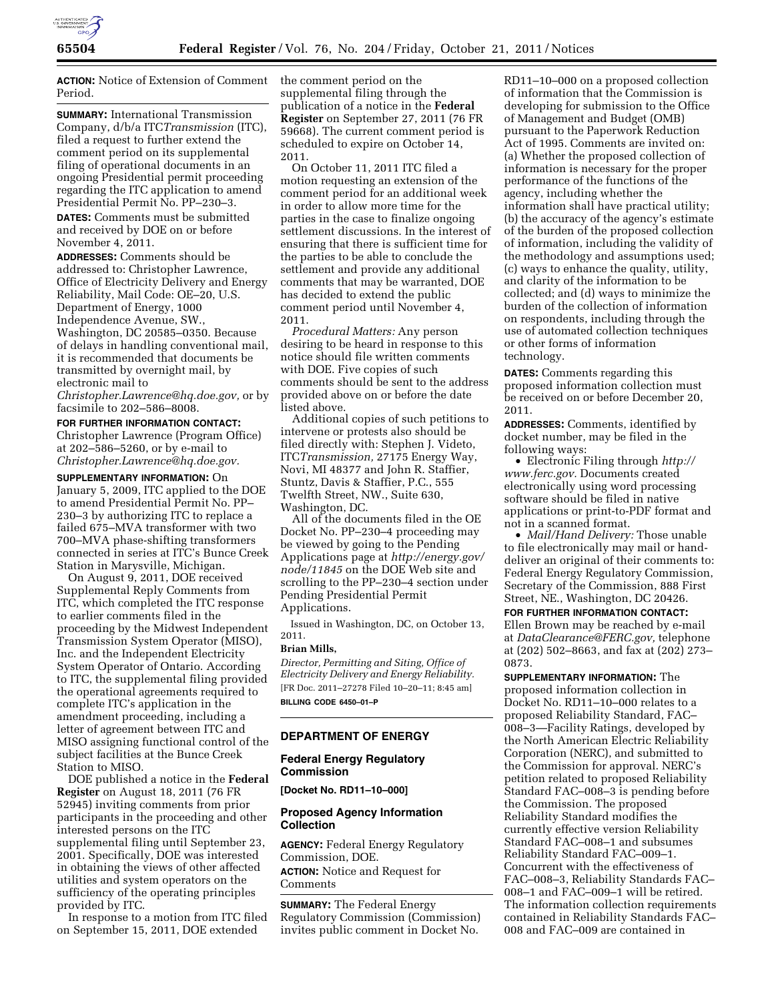

**ACTION:** Notice of Extension of Comment Period.

**SUMMARY:** International Transmission Company, d/b/a ITC*Transmission* (ITC), filed a request to further extend the comment period on its supplemental filing of operational documents in an ongoing Presidential permit proceeding regarding the ITC application to amend Presidential Permit No. PP–230–3.

**DATES:** Comments must be submitted and received by DOE on or before November 4, 2011.

**ADDRESSES:** Comments should be addressed to: Christopher Lawrence, Office of Electricity Delivery and Energy Reliability, Mail Code: OE–20, U.S. Department of Energy, 1000 Independence Avenue, SW., Washington, DC 20585–0350. Because of delays in handling conventional mail, it is recommended that documents be transmitted by overnight mail, by electronic mail to

*[Christopher.Lawrence@hq.doe.gov,](mailto:Christopher.Lawrence@hq.doe.gov)* or by facsimile to 202–586–8008.

**FOR FURTHER INFORMATION CONTACT:**  Christopher Lawrence (Program Office) at 202–586–5260, or by e-mail to *[Christopher.Lawrence@hq.doe.gov.](mailto:Christopher.Lawrence@hq.doe.gov)* 

**SUPPLEMENTARY INFORMATION:** On January 5, 2009, ITC applied to the DOE to amend Presidential Permit No. PP– 230–3 by authorizing ITC to replace a failed 675–MVA transformer with two 700–MVA phase-shifting transformers connected in series at ITC's Bunce Creek Station in Marysville, Michigan.

On August 9, 2011, DOE received Supplemental Reply Comments from ITC, which completed the ITC response to earlier comments filed in the proceeding by the Midwest Independent Transmission System Operator (MISO), Inc. and the Independent Electricity System Operator of Ontario. According to ITC, the supplemental filing provided the operational agreements required to complete ITC's application in the amendment proceeding, including a letter of agreement between ITC and MISO assigning functional control of the subject facilities at the Bunce Creek Station to MISO.

DOE published a notice in the **Federal Register** on August 18, 2011 (76 FR 52945) inviting comments from prior participants in the proceeding and other interested persons on the ITC supplemental filing until September 23, 2001. Specifically, DOE was interested in obtaining the views of other affected utilities and system operators on the sufficiency of the operating principles provided by ITC.

In response to a motion from ITC filed on September 15, 2011, DOE extended

the comment period on the supplemental filing through the publication of a notice in the **Federal Register** on September 27, 2011 (76 FR 59668). The current comment period is scheduled to expire on October 14, 2011.

On October 11, 2011 ITC filed a motion requesting an extension of the comment period for an additional week in order to allow more time for the parties in the case to finalize ongoing settlement discussions. In the interest of ensuring that there is sufficient time for the parties to be able to conclude the settlement and provide any additional comments that may be warranted, DOE has decided to extend the public comment period until November 4, 2011.

*Procedural Matters:* Any person desiring to be heard in response to this notice should file written comments with DOE. Five copies of such comments should be sent to the address provided above on or before the date listed above.

Additional copies of such petitions to intervene or protests also should be filed directly with: Stephen J. Videto, ITC*Transmission,* 27175 Energy Way, Novi, MI 48377 and John R. Staffier, Stuntz, Davis & Staffier, P.C., 555 Twelfth Street, NW., Suite 630, Washington, DC.

All of the documents filed in the OE Docket No. PP–230–4 proceeding may be viewed by going to the Pending Applications page at *[http://energy.gov/](http://energy.gov/node/11845) [node/11845](http://energy.gov/node/11845)* on the DOE Web site and scrolling to the PP–230–4 section under Pending Presidential Permit Applications.

Issued in Washington, DC, on October 13, 2011.

## **Brian Mills,**

*Director, Permitting and Siting, Office of Electricity Delivery and Energy Reliability.*  [FR Doc. 2011–27278 Filed 10–20–11; 8:45 am] **BILLING CODE 6450–01–P** 

## **DEPARTMENT OF ENERGY**

## **Federal Energy Regulatory Commission**

**[Docket No. RD11–10–000]** 

## **Proposed Agency Information Collection**

**AGENCY:** Federal Energy Regulatory Commission, DOE. **ACTION:** Notice and Request for Comments

**SUMMARY:** The Federal Energy Regulatory Commission (Commission) invites public comment in Docket No.

RD11–10–000 on a proposed collection of information that the Commission is developing for submission to the Office of Management and Budget (OMB) pursuant to the Paperwork Reduction Act of 1995. Comments are invited on: (a) Whether the proposed collection of information is necessary for the proper performance of the functions of the agency, including whether the information shall have practical utility; (b) the accuracy of the agency's estimate of the burden of the proposed collection of information, including the validity of the methodology and assumptions used; (c) ways to enhance the quality, utility, and clarity of the information to be collected; and (d) ways to minimize the burden of the collection of information on respondents, including through the use of automated collection techniques or other forms of information technology.

**DATES:** Comments regarding this proposed information collection must be received on or before December 20, 2011.

**ADDRESSES:** Comments, identified by docket number, may be filed in the following ways:

• Electronic Filing through *[http://](http://www.ferc.gov) [www.ferc.gov.](http://www.ferc.gov)* Documents created electronically using word processing software should be filed in native applications or print-to-PDF format and not in a scanned format.

• *Mail/Hand Delivery:* Those unable to file electronically may mail or handdeliver an original of their comments to: Federal Energy Regulatory Commission, Secretary of the Commission, 888 First Street, NE., Washington, DC 20426.

**FOR FURTHER INFORMATION CONTACT:** 

Ellen Brown may be reached by e-mail at *[DataClearance@FERC.gov,](mailto:DataClearance@FERC.gov)* telephone at (202) 502–8663, and fax at (202) 273– 0873.

**SUPPLEMENTARY INFORMATION:** The proposed information collection in Docket No. RD11–10–000 relates to a proposed Reliability Standard, FAC– 008–3—Facility Ratings, developed by the North American Electric Reliability Corporation (NERC), and submitted to the Commission for approval. NERC's petition related to proposed Reliability Standard FAC–008–3 is pending before the Commission. The proposed Reliability Standard modifies the currently effective version Reliability Standard FAC–008–1 and subsumes Reliability Standard FAC–009–1. Concurrent with the effectiveness of FAC–008–3, Reliability Standards FAC– 008–1 and FAC–009–1 will be retired. The information collection requirements contained in Reliability Standards FAC– 008 and FAC–009 are contained in